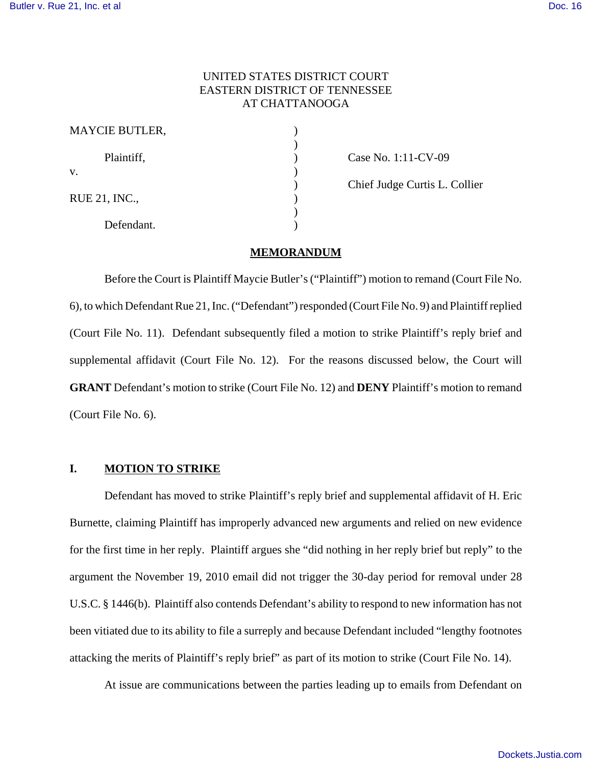## UNITED STATES DISTRICT COURT EASTERN DISTRICT OF TENNESSEE AT CHATTANOOGA

| <b>MAYCIE BUTLER,</b> |  |
|-----------------------|--|
| Plaintiff,            |  |
| V.                    |  |
| RUE 21, INC.,         |  |
| Defendant.            |  |

Case No. 1:11-CV-09

) Chief Judge Curtis L. Collier

#### **MEMORANDUM**

Before the Court is Plaintiff Maycie Butler's ("Plaintiff") motion to remand (Court File No. 6), to which Defendant Rue 21, Inc. ("Defendant") responded (Court File No. 9) and Plaintiff replied (Court File No. 11). Defendant subsequently filed a motion to strike Plaintiff's reply brief and supplemental affidavit (Court File No. 12). For the reasons discussed below, the Court will **GRANT** Defendant's motion to strike (Court File No. 12) and **DENY** Plaintiff's motion to remand (Court File No. 6).

## **I. MOTION TO STRIKE**

Defendant has moved to strike Plaintiff's reply brief and supplemental affidavit of H. Eric Burnette, claiming Plaintiff has improperly advanced new arguments and relied on new evidence for the first time in her reply. Plaintiff argues she "did nothing in her reply brief but reply" to the argument the November 19, 2010 email did not trigger the 30-day period for removal under 28 U.S.C. § 1446(b). Plaintiff also contends Defendant's ability to respond to new information has not been vitiated due to its ability to file a surreply and because Defendant included "lengthy footnotes attacking the merits of Plaintiff's reply brief" as part of its motion to strike (Court File No. 14).

At issue are communications between the parties leading up to emails from Defendant on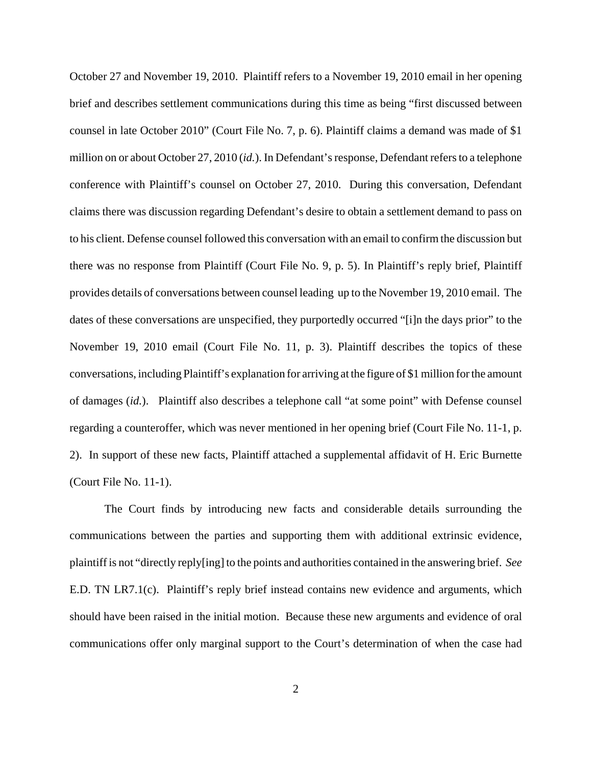October 27 and November 19, 2010. Plaintiff refers to a November 19, 2010 email in her opening brief and describes settlement communications during this time as being "first discussed between counsel in late October 2010" (Court File No. 7, p. 6). Plaintiff claims a demand was made of \$1 million on or about October 27, 2010 (*id.*). In Defendant's response, Defendant refers to a telephone conference with Plaintiff's counsel on October 27, 2010. During this conversation, Defendant claims there was discussion regarding Defendant's desire to obtain a settlement demand to pass on to his client. Defense counsel followed this conversation with an email to confirm the discussion but there was no response from Plaintiff (Court File No. 9, p. 5). In Plaintiff's reply brief, Plaintiff provides details of conversations between counsel leading up to the November 19, 2010 email. The dates of these conversations are unspecified, they purportedly occurred "[i]n the days prior" to the November 19, 2010 email (Court File No. 11, p. 3). Plaintiff describes the topics of these conversations, including Plaintiff's explanation for arriving at the figure of \$1 million for the amount of damages (*id.*). Plaintiff also describes a telephone call "at some point" with Defense counsel regarding a counteroffer, which was never mentioned in her opening brief (Court File No. 11-1, p. 2). In support of these new facts, Plaintiff attached a supplemental affidavit of H. Eric Burnette (Court File No. 11-1).

The Court finds by introducing new facts and considerable details surrounding the communications between the parties and supporting them with additional extrinsic evidence, plaintiff is not "directly reply[ing] to the points and authorities contained in the answering brief. *See* E.D. TN LR7.1(c). Plaintiff's reply brief instead contains new evidence and arguments, which should have been raised in the initial motion. Because these new arguments and evidence of oral communications offer only marginal support to the Court's determination of when the case had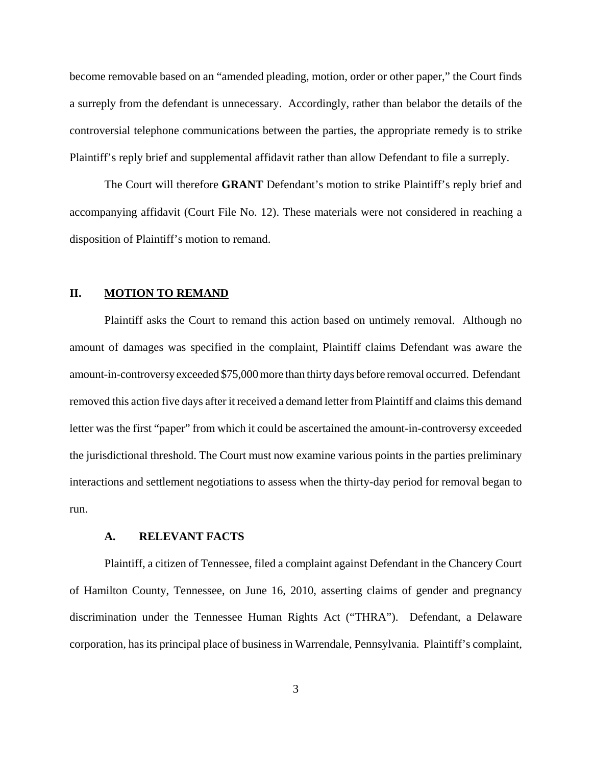become removable based on an "amended pleading, motion, order or other paper," the Court finds a surreply from the defendant is unnecessary. Accordingly, rather than belabor the details of the controversial telephone communications between the parties, the appropriate remedy is to strike Plaintiff's reply brief and supplemental affidavit rather than allow Defendant to file a surreply.

The Court will therefore **GRANT** Defendant's motion to strike Plaintiff's reply brief and accompanying affidavit (Court File No. 12). These materials were not considered in reaching a disposition of Plaintiff's motion to remand.

## **II. MOTION TO REMAND**

Plaintiff asks the Court to remand this action based on untimely removal. Although no amount of damages was specified in the complaint, Plaintiff claims Defendant was aware the amount-in-controversy exceeded \$75,000 more than thirty days before removal occurred. Defendant removed this action five days after it received a demand letter from Plaintiff and claims this demand letter was the first "paper" from which it could be ascertained the amount-in-controversy exceeded the jurisdictional threshold. The Court must now examine various points in the parties preliminary interactions and settlement negotiations to assess when the thirty-day period for removal began to run.

## **A. RELEVANT FACTS**

Plaintiff, a citizen of Tennessee, filed a complaint against Defendant in the Chancery Court of Hamilton County, Tennessee, on June 16, 2010, asserting claims of gender and pregnancy discrimination under the Tennessee Human Rights Act ("THRA"). Defendant, a Delaware corporation, has its principal place of business in Warrendale, Pennsylvania. Plaintiff's complaint,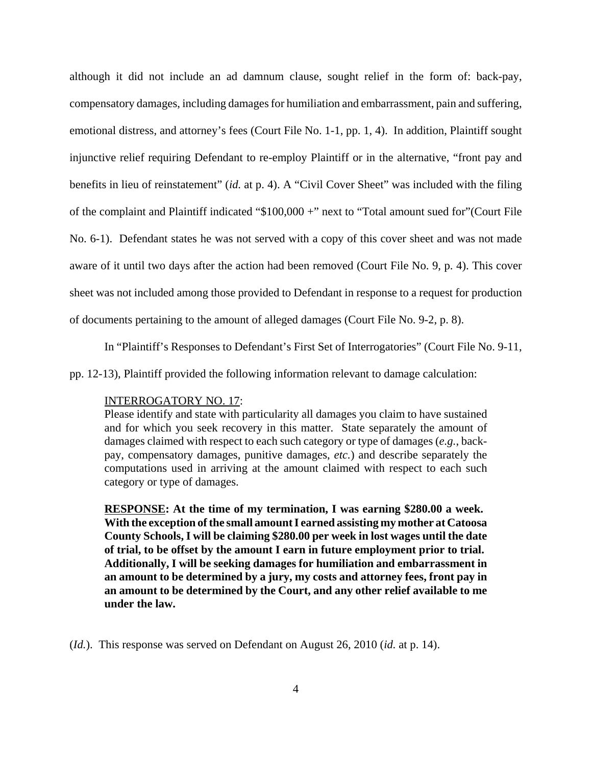although it did not include an ad damnum clause, sought relief in the form of: back-pay, compensatory damages, including damages for humiliation and embarrassment, pain and suffering, emotional distress, and attorney's fees (Court File No. 1-1, pp. 1, 4). In addition, Plaintiff sought injunctive relief requiring Defendant to re-employ Plaintiff or in the alternative, "front pay and benefits in lieu of reinstatement" (*id.* at p. 4). A "Civil Cover Sheet" was included with the filing of the complaint and Plaintiff indicated "\$100,000 +" next to "Total amount sued for"(Court File No. 6-1). Defendant states he was not served with a copy of this cover sheet and was not made aware of it until two days after the action had been removed (Court File No. 9, p. 4). This cover sheet was not included among those provided to Defendant in response to a request for production of documents pertaining to the amount of alleged damages (Court File No. 9-2, p. 8).

In "Plaintiff's Responses to Defendant's First Set of Interrogatories" (Court File No. 9-11,

pp. 12-13), Plaintiff provided the following information relevant to damage calculation:

#### INTERROGATORY NO. 17:

Please identify and state with particularity all damages you claim to have sustained and for which you seek recovery in this matter. State separately the amount of damages claimed with respect to each such category or type of damages (*e.g.*, backpay, compensatory damages, punitive damages, *etc.*) and describe separately the computations used in arriving at the amount claimed with respect to each such category or type of damages.

**RESPONSE: At the time of my termination, I was earning \$280.00 a week. With the exception of the small amount I earned assisting my mother at Catoosa County Schools, I will be claiming \$280.00 per week in lost wages until the date of trial, to be offset by the amount I earn in future employment prior to trial. Additionally, I will be seeking damages for humiliation and embarrassment in an amount to be determined by a jury, my costs and attorney fees, front pay in an amount to be determined by the Court, and any other relief available to me under the law.** 

(*Id.*). This response was served on Defendant on August 26, 2010 (*id.* at p. 14).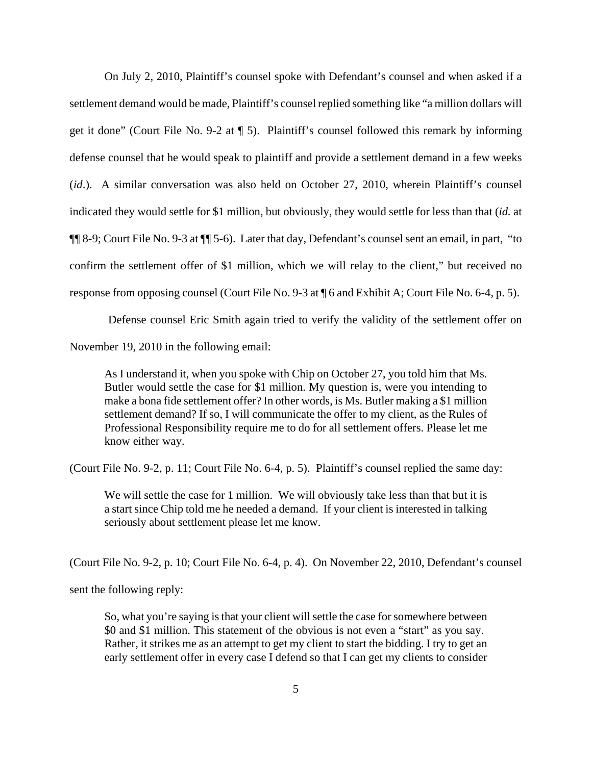On July 2, 2010, Plaintiff's counsel spoke with Defendant's counsel and when asked if a settlement demand would be made, Plaintiff's counsel replied something like "a million dollars will get it done" (Court File No. 9-2 at ¶ 5). Plaintiff's counsel followed this remark by informing defense counsel that he would speak to plaintiff and provide a settlement demand in a few weeks (*id.*). A similar conversation was also held on October 27, 2010, wherein Plaintiff's counsel indicated they would settle for \$1 million, but obviously, they would settle for less than that (*id.* at ¶¶ 8-9; Court File No. 9-3 at ¶¶ 5-6). Later that day, Defendant's counsel sent an email, in part, "to confirm the settlement offer of \$1 million, which we will relay to the client," but received no response from opposing counsel (Court File No. 9-3 at ¶ 6 and Exhibit A; Court File No. 6-4, p. 5).

Defense counsel Eric Smith again tried to verify the validity of the settlement offer on

November 19, 2010 in the following email:

As I understand it, when you spoke with Chip on October 27, you told him that Ms. Butler would settle the case for \$1 million. My question is, were you intending to make a bona fide settlement offer? In other words, is Ms. Butler making a \$1 million settlement demand? If so, I will communicate the offer to my client, as the Rules of Professional Responsibility require me to do for all settlement offers. Please let me know either way.

(Court File No. 9-2, p. 11; Court File No. 6-4, p. 5). Plaintiff's counsel replied the same day:

We will settle the case for 1 million. We will obviously take less than that but it is a start since Chip told me he needed a demand. If your client is interested in talking seriously about settlement please let me know.

(Court File No. 9-2, p. 10; Court File No. 6-4, p. 4). On November 22, 2010, Defendant's counsel

sent the following reply:

So, what you're saying is that your client will settle the case for somewhere between \$0 and \$1 million. This statement of the obvious is not even a "start" as you say. Rather, it strikes me as an attempt to get my client to start the bidding. I try to get an early settlement offer in every case I defend so that I can get my clients to consider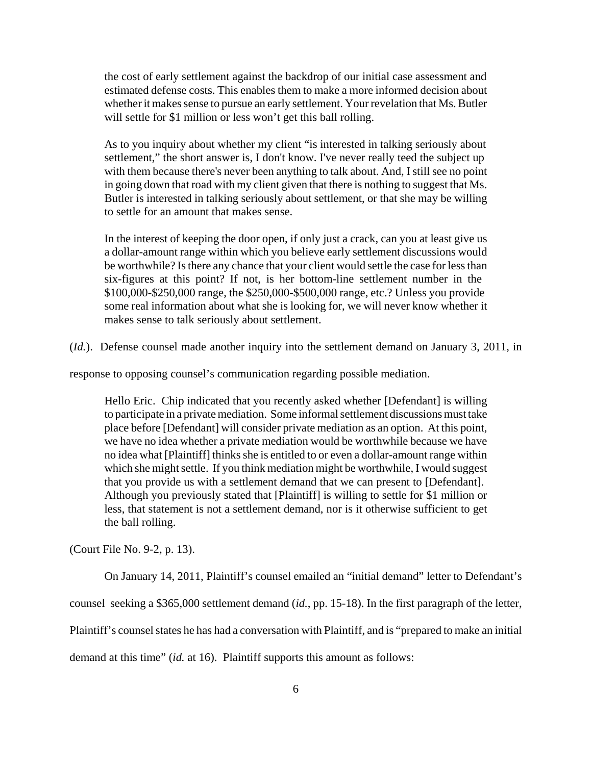the cost of early settlement against the backdrop of our initial case assessment and estimated defense costs. This enables them to make a more informed decision about whether it makes sense to pursue an early settlement. Your revelation that Ms. Butler will settle for \$1 million or less won't get this ball rolling.

As to you inquiry about whether my client "is interested in talking seriously about settlement," the short answer is, I don't know. I've never really teed the subject up with them because there's never been anything to talk about. And, I still see no point in going down that road with my client given that there is nothing to suggest that Ms. Butler is interested in talking seriously about settlement, or that she may be willing to settle for an amount that makes sense.

In the interest of keeping the door open, if only just a crack, can you at least give us a dollar-amount range within which you believe early settlement discussions would be worthwhile? Is there any chance that your client would settle the case for less than six-figures at this point? If not, is her bottom-line settlement number in the \$100,000-\$250,000 range, the \$250,000-\$500,000 range, etc.? Unless you provide some real information about what she is looking for, we will never know whether it makes sense to talk seriously about settlement.

(*Id.*). Defense counsel made another inquiry into the settlement demand on January 3, 2011, in

response to opposing counsel's communication regarding possible mediation.

Hello Eric. Chip indicated that you recently asked whether [Defendant] is willing to participate in a private mediation. Some informal settlement discussions must take place before [Defendant] will consider private mediation as an option. At this point, we have no idea whether a private mediation would be worthwhile because we have no idea what [Plaintiff] thinks she is entitled to or even a dollar-amount range within which she might settle. If you think mediation might be worthwhile, I would suggest that you provide us with a settlement demand that we can present to [Defendant]. Although you previously stated that [Plaintiff] is willing to settle for \$1 million or less, that statement is not a settlement demand, nor is it otherwise sufficient to get the ball rolling.

(Court File No. 9-2, p. 13).

On January 14, 2011, Plaintiff's counsel emailed an "initial demand" letter to Defendant's

counsel seeking a \$365,000 settlement demand (*id.*, pp. 15-18). In the first paragraph of the letter,

Plaintiff's counsel states he has had a conversation with Plaintiff, and is "prepared to make an initial

demand at this time" (*id.* at 16). Plaintiff supports this amount as follows: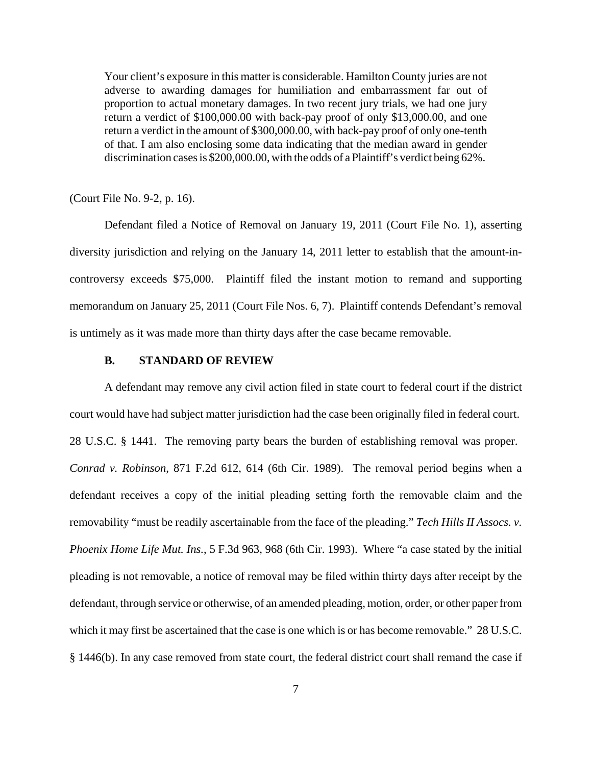Your client's exposure in this matter is considerable. Hamilton County juries are not adverse to awarding damages for humiliation and embarrassment far out of proportion to actual monetary damages. In two recent jury trials, we had one jury return a verdict of \$100,000.00 with back-pay proof of only \$13,000.00, and one return a verdict in the amount of \$300,000.00, with back-pay proof of only one-tenth of that. I am also enclosing some data indicating that the median award in gender discrimination cases is \$200,000.00, with the odds of a Plaintiff's verdict being 62%.

(Court File No. 9-2, p. 16).

Defendant filed a Notice of Removal on January 19, 2011 (Court File No. 1), asserting diversity jurisdiction and relying on the January 14, 2011 letter to establish that the amount-incontroversy exceeds \$75,000. Plaintiff filed the instant motion to remand and supporting memorandum on January 25, 2011 (Court File Nos. 6, 7). Plaintiff contends Defendant's removal is untimely as it was made more than thirty days after the case became removable.

#### **B. STANDARD OF REVIEW**

A defendant may remove any civil action filed in state court to federal court if the district court would have had subject matter jurisdiction had the case been originally filed in federal court. 28 U.S.C. § 1441. The removing party bears the burden of establishing removal was proper. *Conrad v. Robinson*, 871 F.2d 612, 614 (6th Cir. 1989). The removal period begins when a defendant receives a copy of the initial pleading setting forth the removable claim and the removability "must be readily ascertainable from the face of the pleading." *Tech Hills II Assocs. v. Phoenix Home Life Mut. Ins.*, 5 F.3d 963, 968 (6th Cir. 1993). Where "a case stated by the initial pleading is not removable, a notice of removal may be filed within thirty days after receipt by the defendant, through service or otherwise, of an amended pleading, motion, order, or other paper from which it may first be ascertained that the case is one which is or has become removable." 28 U.S.C. § 1446(b). In any case removed from state court, the federal district court shall remand the case if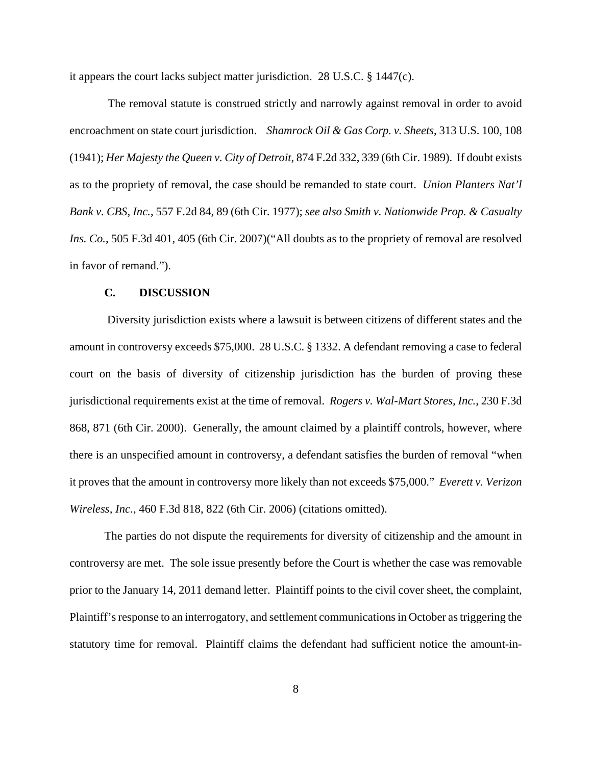it appears the court lacks subject matter jurisdiction. 28 U.S.C. § 1447(c).

 The removal statute is construed strictly and narrowly against removal in order to avoid encroachment on state court jurisdiction. *Shamrock Oil & Gas Corp. v. Sheets*, 313 U.S. 100, 108 (1941); *Her Majesty the Queen v. City of Detroit*, 874 F.2d 332, 339 (6th Cir. 1989). If doubt exists as to the propriety of removal, the case should be remanded to state court. *Union Planters Nat'l Bank v. CBS, Inc.*, 557 F.2d 84, 89 (6th Cir. 1977); *see also Smith v. Nationwide Prop. & Casualty Ins. Co.*, 505 F.3d 401, 405 (6th Cir. 2007)("All doubts as to the propriety of removal are resolved in favor of remand.").

### **C. DISCUSSION**

 Diversity jurisdiction exists where a lawsuit is between citizens of different states and the amount in controversy exceeds \$75,000. 28 U.S.C. § 1332. A defendant removing a case to federal court on the basis of diversity of citizenship jurisdiction has the burden of proving these jurisdictional requirements exist at the time of removal. *Rogers v. Wal-Mart Stores, Inc.*, 230 F.3d 868, 871 (6th Cir. 2000). Generally, the amount claimed by a plaintiff controls, however, where there is an unspecified amount in controversy, a defendant satisfies the burden of removal "when it proves that the amount in controversy more likely than not exceeds \$75,000." *Everett v. Verizon Wireless, Inc.*, 460 F.3d 818, 822 (6th Cir. 2006) (citations omitted).

The parties do not dispute the requirements for diversity of citizenship and the amount in controversy are met. The sole issue presently before the Court is whether the case was removable prior to the January 14, 2011 demand letter. Plaintiff points to the civil cover sheet, the complaint, Plaintiff's response to an interrogatory, and settlement communications in October as triggering the statutory time for removal. Plaintiff claims the defendant had sufficient notice the amount-in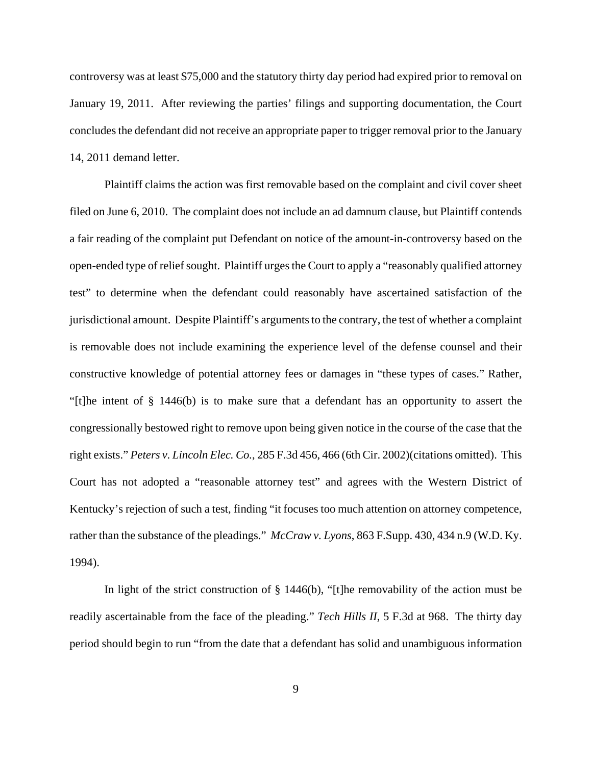controversy was at least \$75,000 and the statutory thirty day period had expired prior to removal on January 19, 2011. After reviewing the parties' filings and supporting documentation, the Court concludes the defendant did not receive an appropriate paper to trigger removal prior to the January 14, 2011 demand letter.

Plaintiff claims the action was first removable based on the complaint and civil cover sheet filed on June 6, 2010. The complaint does not include an ad damnum clause, but Plaintiff contends a fair reading of the complaint put Defendant on notice of the amount-in-controversy based on the open-ended type of relief sought. Plaintiff urges the Court to apply a "reasonably qualified attorney test" to determine when the defendant could reasonably have ascertained satisfaction of the jurisdictional amount. Despite Plaintiff's arguments to the contrary, the test of whether a complaint is removable does not include examining the experience level of the defense counsel and their constructive knowledge of potential attorney fees or damages in "these types of cases." Rather, "[t]he intent of § 1446(b) is to make sure that a defendant has an opportunity to assert the congressionally bestowed right to remove upon being given notice in the course of the case that the right exists." *Peters v. Lincoln Elec. Co.*, 285 F.3d 456, 466 (6th Cir. 2002)(citations omitted). This Court has not adopted a "reasonable attorney test" and agrees with the Western District of Kentucky's rejection of such a test, finding "it focuses too much attention on attorney competence, rather than the substance of the pleadings." *McCraw v. Lyons*, 863 F.Supp. 430, 434 n.9 (W.D. Ky. 1994).

In light of the strict construction of  $\S$  1446(b), "[t]he removability of the action must be readily ascertainable from the face of the pleading." *Tech Hills II*, 5 F.3d at 968. The thirty day period should begin to run "from the date that a defendant has solid and unambiguous information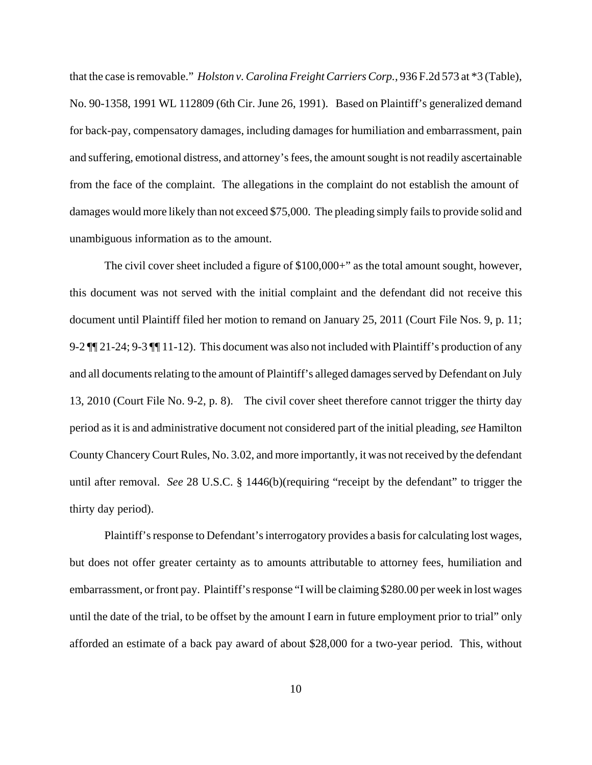that the case is removable." *Holston v. Carolina Freight Carriers Corp.*, 936 F.2d 573 at \*3 (Table), No. 90-1358, 1991 WL 112809 (6th Cir. June 26, 1991). Based on Plaintiff's generalized demand for back-pay, compensatory damages, including damages for humiliation and embarrassment, pain and suffering, emotional distress, and attorney's fees, the amount sought is not readily ascertainable from the face of the complaint. The allegations in the complaint do not establish the amount of damages would more likely than not exceed \$75,000. The pleading simply fails to provide solid and unambiguous information as to the amount.

The civil cover sheet included a figure of \$100,000+" as the total amount sought, however, this document was not served with the initial complaint and the defendant did not receive this document until Plaintiff filed her motion to remand on January 25, 2011 (Court File Nos. 9, p. 11; 9-2 ¶¶ 21-24; 9-3 ¶¶ 11-12). This document was also not included with Plaintiff's production of any and all documents relating to the amount of Plaintiff's alleged damages served by Defendant on July 13, 2010 (Court File No. 9-2, p. 8). The civil cover sheet therefore cannot trigger the thirty day period as it is and administrative document not considered part of the initial pleading, *see* Hamilton County Chancery Court Rules, No. 3.02, and more importantly, it was not received by the defendant until after removal. *See* 28 U.S.C. § 1446(b)(requiring "receipt by the defendant" to trigger the thirty day period).

Plaintiff's response to Defendant's interrogatory provides a basis for calculating lost wages, but does not offer greater certainty as to amounts attributable to attorney fees, humiliation and embarrassment, or front pay. Plaintiff's response "I will be claiming \$280.00 per week in lost wages until the date of the trial, to be offset by the amount I earn in future employment prior to trial" only afforded an estimate of a back pay award of about \$28,000 for a two-year period. This, without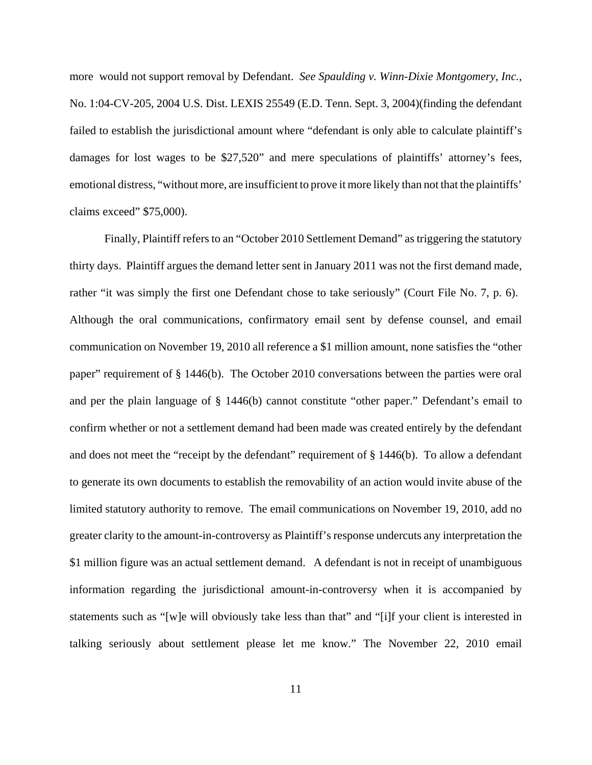more would not support removal by Defendant. *See Spaulding v. Winn-Dixie Montgomery, Inc.*, No. 1:04-CV-205, 2004 U.S. Dist. LEXIS 25549 (E.D. Tenn. Sept. 3, 2004)(finding the defendant failed to establish the jurisdictional amount where "defendant is only able to calculate plaintiff's damages for lost wages to be \$27,520" and mere speculations of plaintiffs' attorney's fees, emotional distress, "without more, are insufficient to prove it more likely than not that the plaintiffs' claims exceed" \$75,000).

Finally, Plaintiff refers to an "October 2010 Settlement Demand" as triggering the statutory thirty days. Plaintiff argues the demand letter sent in January 2011 was not the first demand made, rather "it was simply the first one Defendant chose to take seriously" (Court File No. 7, p. 6). Although the oral communications, confirmatory email sent by defense counsel, and email communication on November 19, 2010 all reference a \$1 million amount, none satisfies the "other paper" requirement of § 1446(b). The October 2010 conversations between the parties were oral and per the plain language of § 1446(b) cannot constitute "other paper." Defendant's email to confirm whether or not a settlement demand had been made was created entirely by the defendant and does not meet the "receipt by the defendant" requirement of § 1446(b). To allow a defendant to generate its own documents to establish the removability of an action would invite abuse of the limited statutory authority to remove. The email communications on November 19, 2010, add no greater clarity to the amount-in-controversy as Plaintiff's response undercuts any interpretation the \$1 million figure was an actual settlement demand. A defendant is not in receipt of unambiguous information regarding the jurisdictional amount-in-controversy when it is accompanied by statements such as "[w]e will obviously take less than that" and "[i]f your client is interested in talking seriously about settlement please let me know." The November 22, 2010 email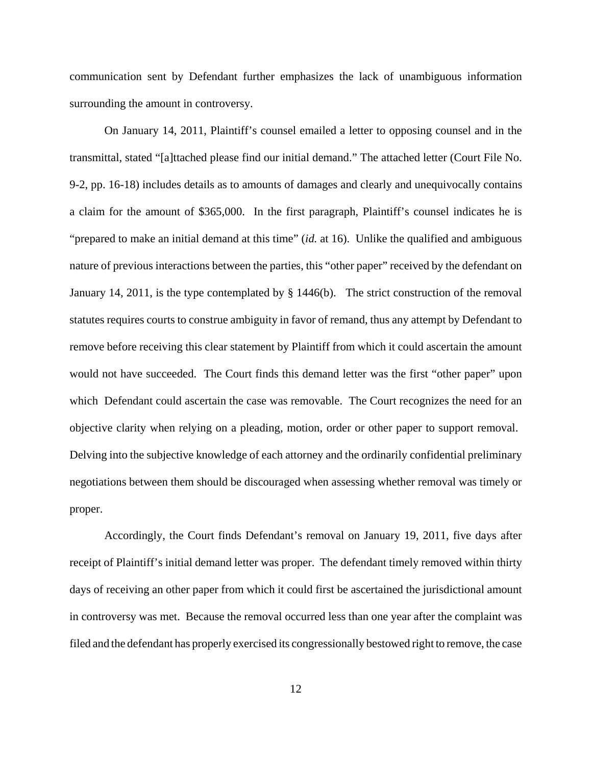communication sent by Defendant further emphasizes the lack of unambiguous information surrounding the amount in controversy.

On January 14, 2011, Plaintiff's counsel emailed a letter to opposing counsel and in the transmittal, stated "[a]ttached please find our initial demand." The attached letter (Court File No. 9-2, pp. 16-18) includes details as to amounts of damages and clearly and unequivocally contains a claim for the amount of \$365,000. In the first paragraph, Plaintiff's counsel indicates he is "prepared to make an initial demand at this time" (*id.* at 16). Unlike the qualified and ambiguous nature of previous interactions between the parties, this "other paper" received by the defendant on January 14, 2011, is the type contemplated by § 1446(b). The strict construction of the removal statutes requires courts to construe ambiguity in favor of remand, thus any attempt by Defendant to remove before receiving this clear statement by Plaintiff from which it could ascertain the amount would not have succeeded. The Court finds this demand letter was the first "other paper" upon which Defendant could ascertain the case was removable. The Court recognizes the need for an objective clarity when relying on a pleading, motion, order or other paper to support removal. Delving into the subjective knowledge of each attorney and the ordinarily confidential preliminary negotiations between them should be discouraged when assessing whether removal was timely or proper.

Accordingly, the Court finds Defendant's removal on January 19, 2011, five days after receipt of Plaintiff's initial demand letter was proper. The defendant timely removed within thirty days of receiving an other paper from which it could first be ascertained the jurisdictional amount in controversy was met. Because the removal occurred less than one year after the complaint was filed and the defendant has properly exercised its congressionally bestowed right to remove, the case